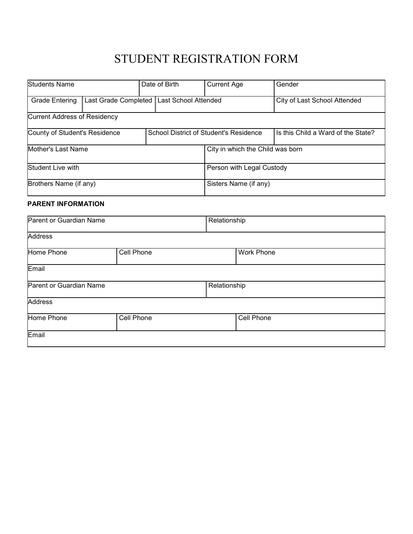## STUDENT REGISTRATION FORM

| <b>Students Name</b>                          |  |  | Date of Birth                          | <b>Current Age</b>               |  | Gender                             |
|-----------------------------------------------|--|--|----------------------------------------|----------------------------------|--|------------------------------------|
| Last Grade Completed<br><b>Grade Entering</b> |  |  | Last School Attended                   |                                  |  | City of Last School Attended       |
| <b>Current Address of Residency</b>           |  |  |                                        |                                  |  |                                    |
| County of Student's Residence                 |  |  | School District of Student's Residence |                                  |  | Is this Child a Ward of the State? |
| Mother's Last Name                            |  |  |                                        | City in which the Child was born |  |                                    |
| Student Live with                             |  |  |                                        | Person with Legal Custody        |  |                                    |
| Brothers Name (if any)                        |  |  |                                        | Sisters Name (if any)            |  |                                    |
| <b>PARENT INFORMATION</b>                     |  |  |                                        |                                  |  |                                    |
| Parent or Guardian Name                       |  |  | Relationship                           |                                  |  |                                    |
| <b>Address</b>                                |  |  |                                        |                                  |  |                                    |
| Cell Phone<br>Home Phone                      |  |  | <b>Work Phone</b>                      |                                  |  |                                    |

Cell Phone

| Email                   |            |              |
|-------------------------|------------|--------------|
| Parent or Guardian Name |            | Relationship |
| Address                 |            |              |
| Home Phone              | Cell Phone | Ω€           |

**Email**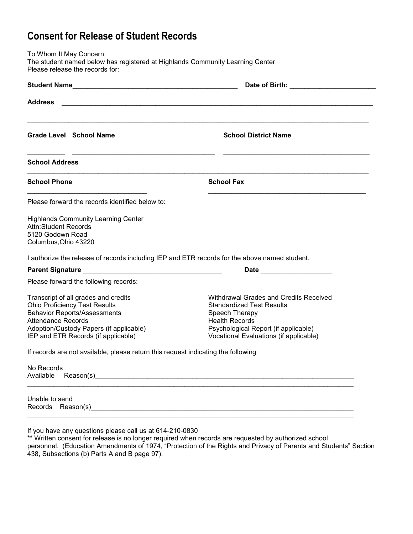## **Consent for Release of Student Records**

To Whom It May Concern: The student named below has registered at Highlands Community Learning Center Please release the records for:

|                                                                                                                                                                                                                                    | Date of Birth: the contract of the contract of $\mathbf{D}$                                                                                                                                                    |
|------------------------------------------------------------------------------------------------------------------------------------------------------------------------------------------------------------------------------------|----------------------------------------------------------------------------------------------------------------------------------------------------------------------------------------------------------------|
|                                                                                                                                                                                                                                    |                                                                                                                                                                                                                |
| <b>Grade Level School Name</b>                                                                                                                                                                                                     | <b>School District Name</b>                                                                                                                                                                                    |
| <b>School Address</b>                                                                                                                                                                                                              |                                                                                                                                                                                                                |
| <b>School Phone</b>                                                                                                                                                                                                                | <b>School Fax</b>                                                                                                                                                                                              |
| Please forward the records identified below to:                                                                                                                                                                                    |                                                                                                                                                                                                                |
| <b>Highlands Community Learning Center</b><br>Attn:Student Records<br>5120 Godown Road<br>Columbus, Ohio 43220                                                                                                                     |                                                                                                                                                                                                                |
|                                                                                                                                                                                                                                    | I authorize the release of records including IEP and ETR records for the above named student.<br>Date and the state of the state of the state of the state of the state of the state of the state of the state |
| Please forward the following records:                                                                                                                                                                                              |                                                                                                                                                                                                                |
| Transcript of all grades and credits<br><b>Ohio Proficiency Test Results</b><br><b>Behavior Reports/Assessments</b><br><b>Attendance Records</b><br>Adoption/Custody Papers (if applicable)<br>IEP and ETR Records (if applicable) | Withdrawal Grades and Credits Received<br><b>Standardized Test Results</b><br>Speech Therapy<br><b>Health Records</b><br>Psychological Report (if applicable)<br>Vocational Evaluations (if applicable)        |
| If records are not available, please return this request indicating the following                                                                                                                                                  |                                                                                                                                                                                                                |
| No Records                                                                                                                                                                                                                         |                                                                                                                                                                                                                |
| Unable to send                                                                                                                                                                                                                     |                                                                                                                                                                                                                |
|                                                                                                                                                                                                                                    |                                                                                                                                                                                                                |

If you have any questions please call us at 614-210-0830

\*\* Written consent for release is no longer required when records are requested by authorized school personnel. (Education Amendments of 1974, "Protection of the Rights and Privacy of Parents and Students" Section 438, Subsections (b) Parts A and B page 97).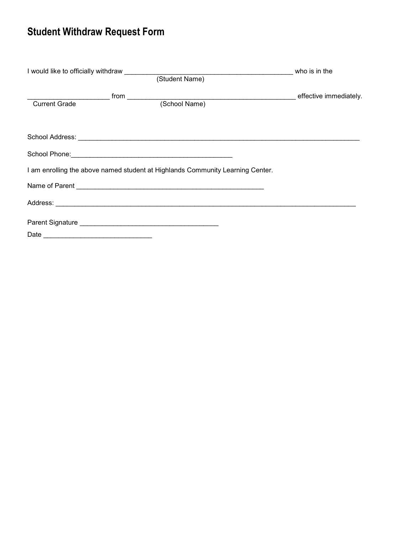## **Student Withdraw Request Form**

|                      |                                                                                | who is in the          |
|----------------------|--------------------------------------------------------------------------------|------------------------|
|                      |                                                                                |                        |
|                      |                                                                                | effective immediately. |
| <b>Current Grade</b> |                                                                                |                        |
|                      |                                                                                |                        |
|                      |                                                                                |                        |
|                      |                                                                                |                        |
|                      | I am enrolling the above named student at Highlands Community Learning Center. |                        |
|                      |                                                                                |                        |
|                      |                                                                                |                        |
|                      |                                                                                |                        |
|                      |                                                                                |                        |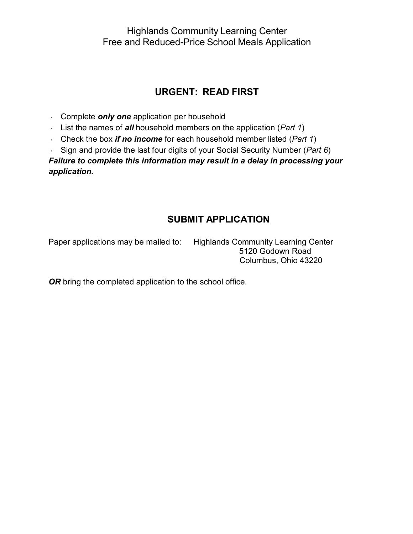Highlands Community Learning Center Free and Reduced-Price School Meals Application

### **URGENT: READ FIRST**

- Complete *only one* application per household
- List the names of *all* household members on the application (*Part 1*)
- Check the box *if no income* for each household member listed (*Part 1*)
- Sign and provide the last four digits of your Social Security Number (*Part 6*)

*Failure to complete this information may result in a delay in processing your application.*

### **SUBMIT APPLICATION**

Paper applications may be mailed to: Highlands Community Learning Center 5120 Godown Road Columbus, Ohio 43220

**OR** bring the completed application to the school office.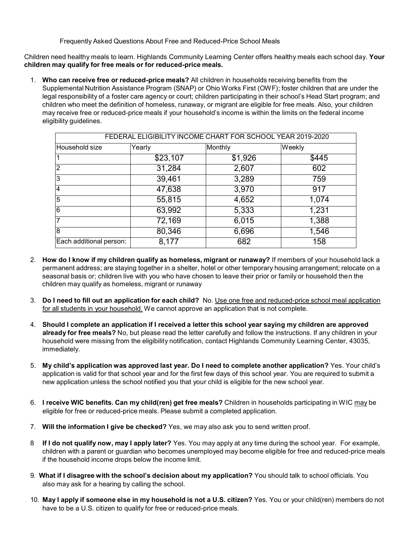Frequently Asked Questions About Free and Reduced-Price School Meals

Children need healthy meals to learn. Highlands Community Learning Center offers healthy meals each school day. **Your children may qualify for free meals or for reduced-price meals.**

1. **Who can receive free or reduced-price meals?** All children in households receiving benefits from the Supplemental Nutrition Assistance Program (SNAP) or Ohio Works First (OWF); foster children that are under the legal responsibility of a foster care agency or court; children participating in their school's Head Start program; and children who meet the definition of homeless, runaway, or migrant are eligible for free meals. Also, your children may receive free or reduced-price meals if your household's income is within the limits on the federal income eligibility guidelines.

| FEDERAL ELIGIBILITY INCOME CHART FOR SCHOOL YEAR 2019-2020 |          |         |        |  |  |
|------------------------------------------------------------|----------|---------|--------|--|--|
| Household size                                             | Yearly   | Monthly | Weekly |  |  |
| l 1                                                        | \$23,107 | \$1,926 | \$445  |  |  |
| $\overline{2}$                                             | 31,284   | 2,607   | 602    |  |  |
| 3                                                          | 39,461   | 3,289   | 759    |  |  |
| $\overline{4}$                                             | 47,638   | 3,970   | 917    |  |  |
| $\overline{5}$                                             | 55,815   | 4,652   | 1,074  |  |  |
| $\overline{6}$                                             | 63,992   | 5,333   | 1,231  |  |  |
| 7                                                          | 72,169   | 6,015   | 1,388  |  |  |
| $\overline{8}$                                             | 80,346   | 6,696   | 1,546  |  |  |
| Each additional person:                                    | 8,177    | 682     | 158    |  |  |

- 2. **How do I know if my children qualify as homeless, migrant or runaway?** If members of your household lack a permanent address; are staying together in a shelter, hotel or other temporary housing arrangement; relocate on a seasonal basis or; children live with you who have chosen to leave their prior or family or household then the children may qualify as homeless, migrant or runaway
- 3. **Do I need to fill out an application for each child?** No. Use one free and reduced-price school meal application for all students in your household. We cannot approve an application that is not complete.
- 4. **Should I complete an application if I received a letter this school year saying my children are approved already for free meals?** No, but please read the letter carefully and follow the instructions. If any children in your household were missing from the eligibility notification, contact Highlands Community Learning Center, 43035, immediately.
- 5. **My child's application was approved last year. Do I need to complete another application?** Yes. Your child's application is valid for that school year and for the first few days of this school year. You are required to submit a new application unless the school notified you that your child is eligible for the new school year.
- 6. **I receive WIC benefits. Can my child(ren) get free meals?** Children in households participating in WIC may be eligible for free or reduced-price meals. Please submit a completed application.
- 7. **Will the information I give be checked?** Yes, we may also ask you to send written proof.
- 8 **If I do not qualify now, may I apply later?** Yes. You may apply at any time during the school year. For example, children with a parent or guardian who becomes unemployed may become eligible for free and reduced-price meals if the household income drops below the income limit.
- 9. **What if I disagree with the school's decision about my application?** You should talk to school officials. You also may ask for a hearing by calling the school.
- 10. **May I apply if someone else in my household is not a U.S. citizen?** Yes. You or your child(ren) members do not have to be a U.S. citizen to qualify for free or reduced-price meals.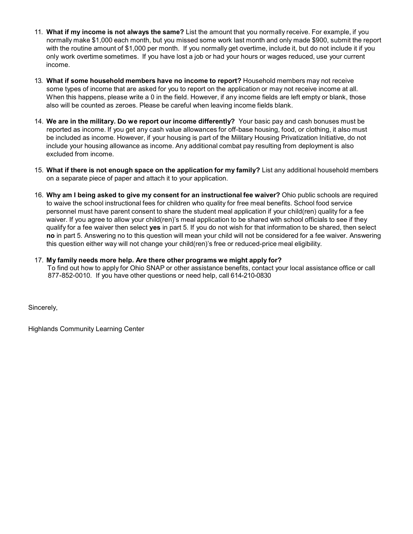- 11. **What if my income is not always the same?** List the amount that you normally receive. For example, if you normally make \$1,000 each month, but you missed some work last month and only made \$900, submit the report with the routine amount of \$1,000 per month. If you normally get overtime, include it, but do not include it if you only work overtime sometimes. If you have lost a job or had your hours or wages reduced, use your current income.
- 13. **What if some household members have no income to report?** Household members may not receive some types of income that are asked for you to report on the application or may not receive income at all. When this happens, please write a 0 in the field. However, if any income fields are left empty or blank, those also will be counted as zeroes. Please be careful when leaving income fields blank.
- 14. **We are in the military. Do we report our income differently?** Your basic pay and cash bonuses must be reported as income. If you get any cash value allowances for off-base housing, food, or clothing, it also must be included as income. However, if your housing is part of the Military Housing Privatization Initiative, do not include your housing allowance as income. Any additional combat pay resulting from deployment is also excluded from income.
- 15. **What if there is not enough space on the application for my family?** List any additional household members on a separate piece of paper and attach it to your application.
- 16. **Why am I being asked to give my consent for an instructional fee waiver?** Ohio public schools are required to waive the school instructional fees for children who quality for free meal benefits. School food service personnel must have parent consent to share the student meal application if your child(ren) quality for a fee waiver. If you agree to allow your child(ren)'s meal application to be shared with school officials to see if they qualify for a fee waiver then select **yes** in part 5. If you do not wish for that information to be shared, then select **no** in part 5. Answering no to this question will mean your child will not be considered for a fee waiver. Answering this question either way will not change your child(ren)'s free or reduced-price meal eligibility.
- 17. **My family needs more help. Are there other programs we might apply for?**

To find out how to apply for Ohio SNAP or other assistance benefits, contact your local assistance office or call 877-852-0010. If you have other questions or need help, call 614-210-0830

Sincerely,

Highlands Community Learning Center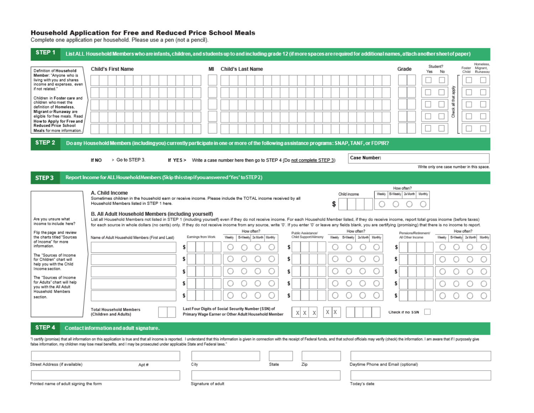# Household Application for Free and Reduced Price School Meals<br>Complete one application per household. Please use a pen (not a pencil).

| STEP <sub>1</sub>                                                                                                                                                                                                                                                                                                                                                                            |                                                                                                                                                                                                                                                                                                                                                                                                                                                                         |                    | List ALL Household Members who are infants, children, and students up to and including grade 12 (if more spaces are required for additional names, attach another sheet of paper)                                                                                                                                                                                                                                                                                                                                                                                                                                                                                                                                                                                                                   |                                                                                                                                                                                              |  |  |
|----------------------------------------------------------------------------------------------------------------------------------------------------------------------------------------------------------------------------------------------------------------------------------------------------------------------------------------------------------------------------------------------|-------------------------------------------------------------------------------------------------------------------------------------------------------------------------------------------------------------------------------------------------------------------------------------------------------------------------------------------------------------------------------------------------------------------------------------------------------------------------|--------------------|-----------------------------------------------------------------------------------------------------------------------------------------------------------------------------------------------------------------------------------------------------------------------------------------------------------------------------------------------------------------------------------------------------------------------------------------------------------------------------------------------------------------------------------------------------------------------------------------------------------------------------------------------------------------------------------------------------------------------------------------------------------------------------------------------------|----------------------------------------------------------------------------------------------------------------------------------------------------------------------------------------------|--|--|
| Definition of Household<br>Member: "Anyone who is<br>living with you and shares<br>income and expenses, even<br>if not related."<br>Children in Foster care and<br>children who meet the<br>definition of Homeless.<br>Migrant or Runaway are<br>eligible for free meals. Read<br>How to Apply for Free and<br><b>Reduced Price School</b><br>Meals for more information.                    | Child's First Name                                                                                                                                                                                                                                                                                                                                                                                                                                                      | ΜI                 | <b>Child's Last Name</b>                                                                                                                                                                                                                                                                                                                                                                                                                                                                                                                                                                                                                                                                                                                                                                            | Homeless.<br>Student?<br>Foster<br>Migrant,<br>Grade<br>Yes<br>No<br>Child<br>Runaway<br>Ř<br>that:<br>᠊ᠷ<br><b>Check</b>                                                                    |  |  |
| STEP <sub>2</sub>                                                                                                                                                                                                                                                                                                                                                                            | Do any Household Members (including you) currently participate in one or more of the following assistance programs: SNAP, TANF, or FDPIR?<br>Case Number:<br>> Go to STEP 3.<br>If NO<br>Write a case number here then go to STEP 4 (Do not complete STEP 3)<br>If YES ><br>Write only one case number in this space.                                                                                                                                                   |                    |                                                                                                                                                                                                                                                                                                                                                                                                                                                                                                                                                                                                                                                                                                                                                                                                     |                                                                                                                                                                                              |  |  |
| STEP <sub>3</sub><br>Are you unsure what<br>income to include here?<br>Flip the page and review<br>the charts titled "Sources<br>of Income" for more<br>information.<br>The "Sources of Income<br>for Children" chart will<br>help you with the Child<br>Income section.<br>The "Sources of Income<br>for Adults" chart will help<br>you with the All Adult<br>Household Members<br>section. | Report Income for ALL Household Members (Skip thisstep if you answered 'Yes' to STEP 2)<br>A. Child Income<br>Sometimes children in the household earn or receive income. Please include the TOTAL income received by all<br>Household Members listed in STEP 1 here.<br>B. All Adult Household Members (including yourself)<br>Name of Adult Household Members (First and Last)<br>\$<br>S<br>S<br>\$<br>\$<br><b>Total Household Members</b><br>(Children and Adults) | Earnings from Work | Child income<br>Weekly<br>S<br>List all Household Members not listed in STEP 1 (including yourself) even if they do not receive income. For each Household Member listed, if they do receive income, report total gross income (before taxes)<br>for each source in whole dollars (no cents) only. If they do not receive income from any source, write '0'. If you enter '0' or leave any fields blank, you are certifying (promising) that there is no income to report.<br>How often?<br>How often?<br>Public Assistance/<br>Bi-Weekly 2x Month   Monthly<br>Child Support/Alimony<br>Weekly<br>Weekly Bi-Weekly 2x Month Monthly<br>S<br>Ś<br>S<br>\$<br>\$<br>Last Four Digits of Social Security Number (SSN) of<br>Χ<br>Χ<br>X X<br>Х<br>Primary Wage Earner or Other Adult Household Member | How often?<br>Bi-Weekly 2x Month<br>Monthly<br>How often?<br>Pensions/Retirement/<br>Bi-Weekly 2x Month<br>All Other Income<br>Weekly<br>Monthly<br>s<br>Ŝ<br>S<br>s<br>Ŝ<br>Check if no SSN |  |  |
| STEP 4                                                                                                                                                                                                                                                                                                                                                                                       | Contact information and adult signature.                                                                                                                                                                                                                                                                                                                                                                                                                                |                    |                                                                                                                                                                                                                                                                                                                                                                                                                                                                                                                                                                                                                                                                                                                                                                                                     |                                                                                                                                                                                              |  |  |
| Street Address (if available)                                                                                                                                                                                                                                                                                                                                                                | false information, my children may lose meal benefits, and I may be prosecuted under applicable State and Federal laws."<br>City<br>Apt #                                                                                                                                                                                                                                                                                                                               |                    | "I certify (promise) that all information on this application is true and that all income is reported. I understand that this information is given in connection with the receipt of Federal funds, and that school officials<br>State<br>Zip<br>Daytime Phone and Email (optional)                                                                                                                                                                                                                                                                                                                                                                                                                                                                                                                 |                                                                                                                                                                                              |  |  |

|  |  | Printed name of adult signing the form |  |
|--|--|----------------------------------------|--|
|  |  |                                        |  |

Signature of adult

Apt #

Today's date